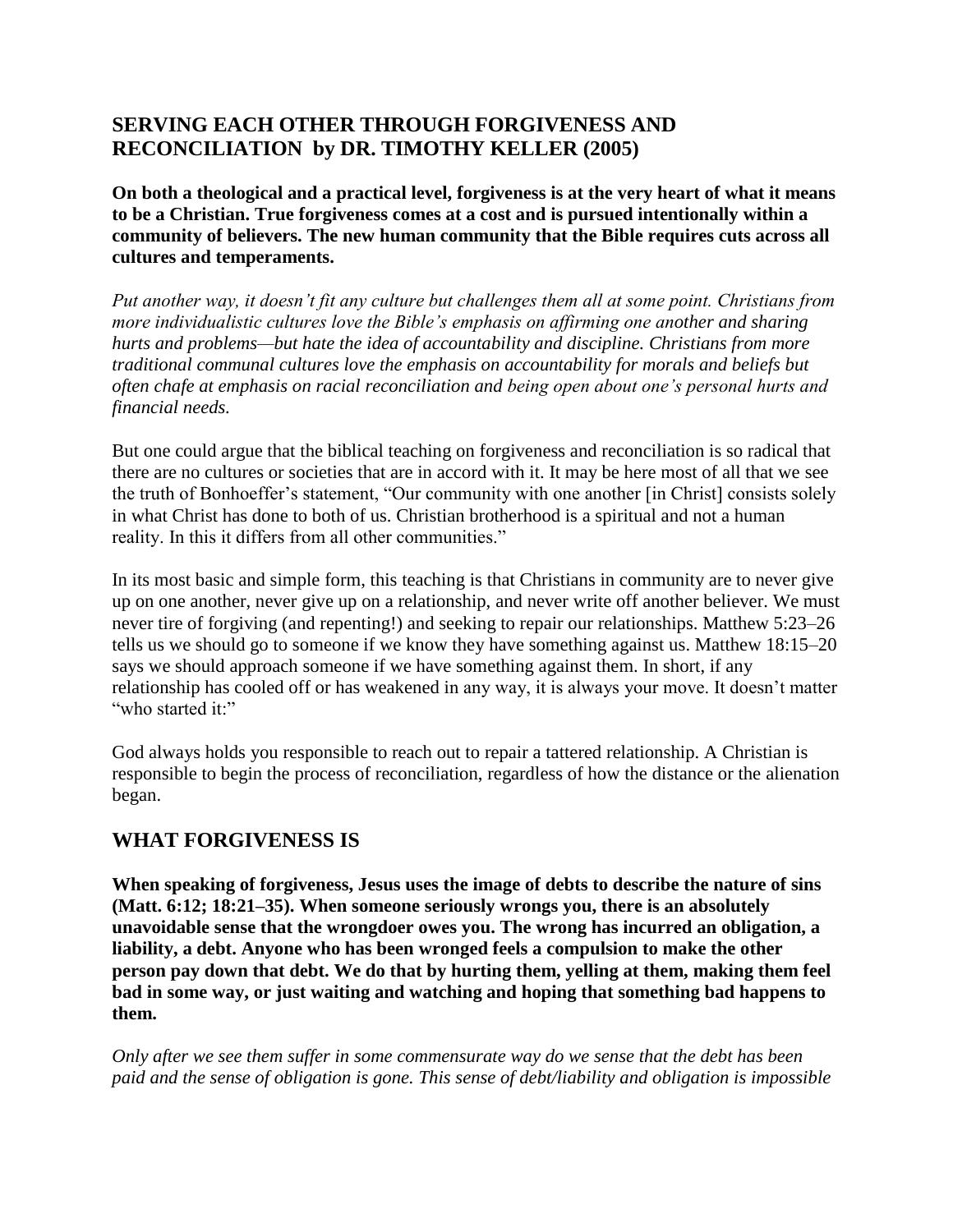# **SERVING EACH OTHER THROUGH FORGIVENESS AND RECONCILIATION by DR. TIMOTHY KELLER (2005)**

**On both a theological and a practical level, forgiveness is at the very heart of what it means to be a Christian. True forgiveness comes at a cost and is pursued intentionally within a community of believers. The new human community that the Bible requires cuts across all cultures and temperaments.**

*Put another way, it doesn't fit any culture but challenges them all at some point. Christians from more individualistic cultures love the Bible's emphasis on affirming one another and sharing hurts and problems—but hate the idea of accountability and discipline. Christians from more traditional communal cultures love the emphasis on accountability for morals and beliefs but often chafe at emphasis on racial reconciliation and being open about one's personal hurts and financial needs.*

But one could argue that the biblical teaching on forgiveness and reconciliation is so radical that there are no cultures or societies that are in accord with it. It may be here most of all that we see the truth of Bonhoeffer's statement, "Our community with one another [in Christ] consists solely in what Christ has done to both of us. Christian brotherhood is a spiritual and not a human reality. In this it differs from all other communities."

In its most basic and simple form, this teaching is that Christians in community are to never give up on one another, never give up on a relationship, and never write off another believer. We must never tire of forgiving (and repenting!) and seeking to repair our relationships. Matthew 5:23–26 tells us we should go to someone if we know they have something against us. Matthew 18:15–20 says we should approach someone if we have something against them. In short, if any relationship has cooled off or has weakened in any way, it is always your move. It doesn't matter "who started it:"

God always holds you responsible to reach out to repair a tattered relationship. A Christian is responsible to begin the process of reconciliation, regardless of how the distance or the alienation began.

# **WHAT FORGIVENESS IS**

**When speaking of forgiveness, Jesus uses the image of debts to describe the nature of sins (Matt. 6:12; 18:21–35). When someone seriously wrongs you, there is an absolutely unavoidable sense that the wrongdoer owes you. The wrong has incurred an obligation, a liability, a debt. Anyone who has been wronged feels a compulsion to make the other person pay down that debt. We do that by hurting them, yelling at them, making them feel bad in some way, or just waiting and watching and hoping that something bad happens to them.**

*Only after we see them suffer in some commensurate way do we sense that the debt has been paid and the sense of obligation is gone. This sense of debt/liability and obligation is impossible*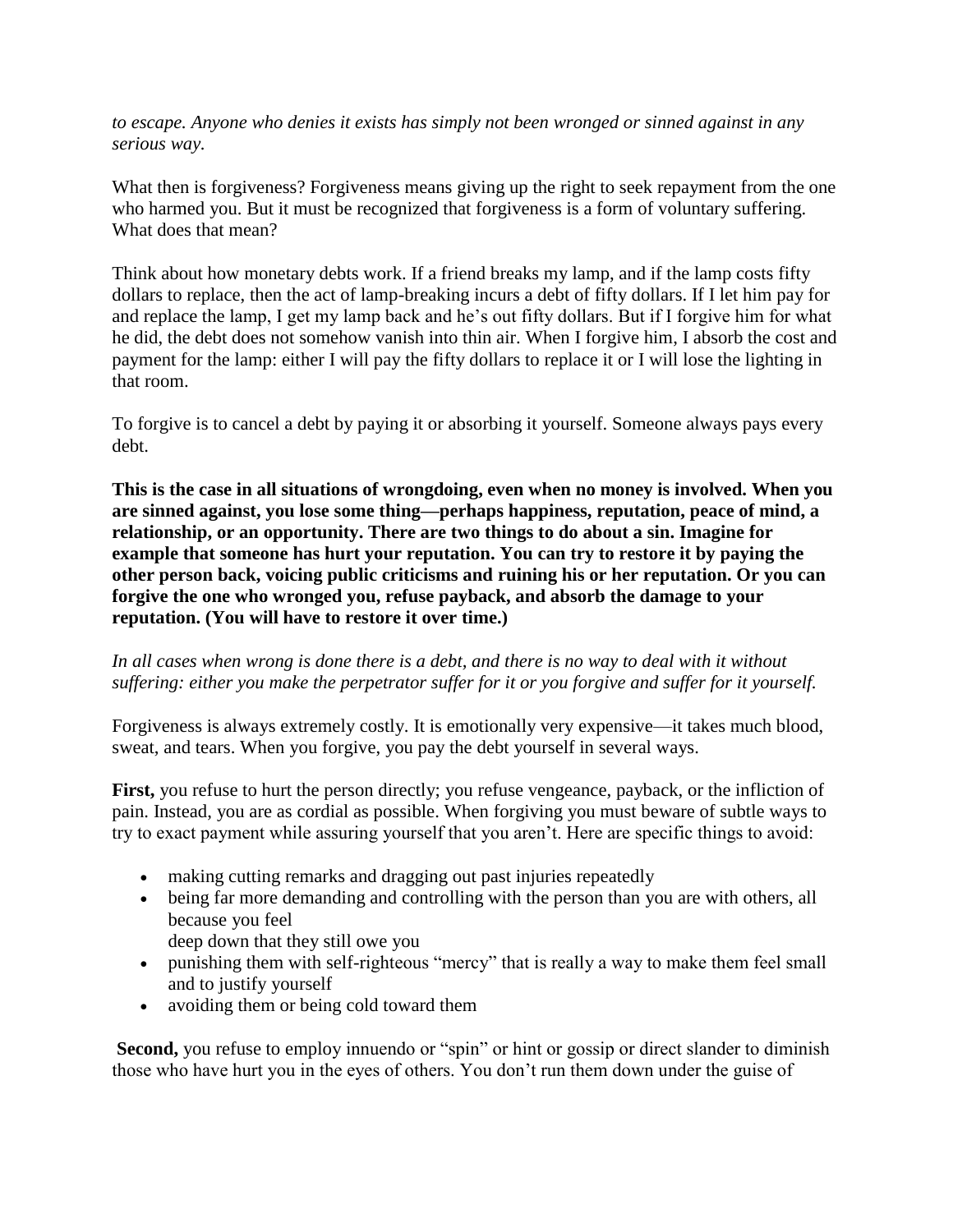*to escape. Anyone who denies it exists has simply not been wronged or sinned against in any serious way.*

What then is forgiveness? Forgiveness means giving up the right to seek repayment from the one who harmed you. But it must be recognized that forgiveness is a form of voluntary suffering. What does that mean?

Think about how monetary debts work. If a friend breaks my lamp, and if the lamp costs fifty dollars to replace, then the act of lamp-breaking incurs a debt of fifty dollars. If I let him pay for and replace the lamp, I get my lamp back and he's out fifty dollars. But if I forgive him for what he did, the debt does not somehow vanish into thin air. When I forgive him, I absorb the cost and payment for the lamp: either I will pay the fifty dollars to replace it or I will lose the lighting in that room.

To forgive is to cancel a debt by paying it or absorbing it yourself. Someone always pays every debt.

**This is the case in all situations of wrongdoing, even when no money is involved. When you are sinned against, you lose some thing—perhaps happiness, reputation, peace of mind, a relationship, or an opportunity. There are two things to do about a sin. Imagine for example that someone has hurt your reputation. You can try to restore it by paying the other person back, voicing public criticisms and ruining his or her reputation. Or you can forgive the one who wronged you, refuse payback, and absorb the damage to your reputation. (You will have to restore it over time.)**

## *In all cases when wrong is done there is a debt, and there is no way to deal with it without suffering: either you make the perpetrator suffer for it or you forgive and suffer for it yourself.*

Forgiveness is always extremely costly. It is emotionally very expensive—it takes much blood, sweat, and tears. When you forgive, you pay the debt yourself in several ways.

**First,** you refuse to hurt the person directly; you refuse vengeance, payback, or the infliction of pain. Instead, you are as cordial as possible. When forgiving you must beware of subtle ways to try to exact payment while assuring yourself that you aren't. Here are specific things to avoid:

- making cutting remarks and dragging out past injuries repeatedly
- being far more demanding and controlling with the person than you are with others, all because you feel
	- deep down that they still owe you
- punishing them with self-righteous "mercy" that is really a way to make them feel small and to justify yourself
- avoiding them or being cold toward them

**Second,** you refuse to employ innuendo or "spin" or hint or gossip or direct slander to diminish those who have hurt you in the eyes of others. You don't run them down under the guise of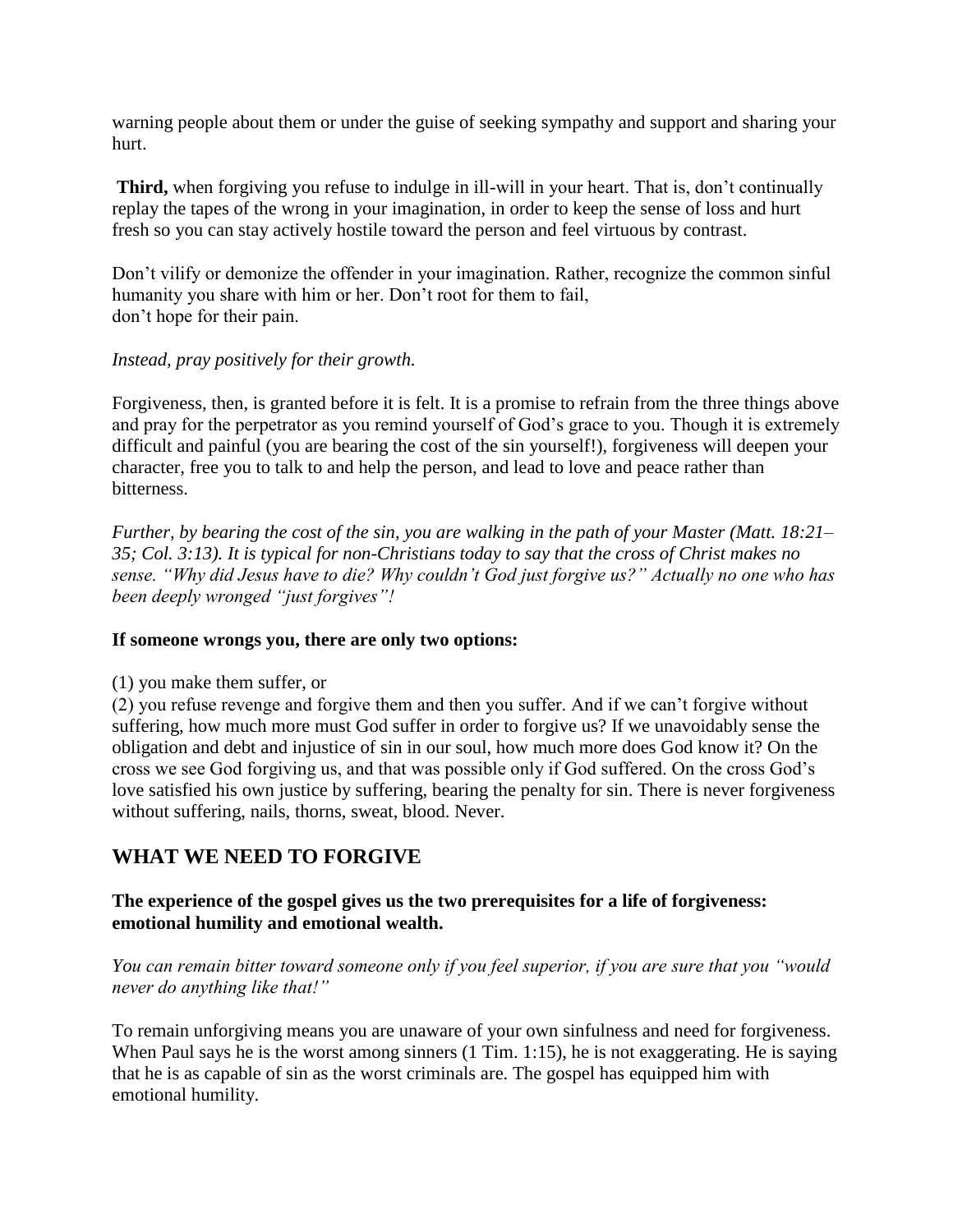warning people about them or under the guise of seeking sympathy and support and sharing your hurt.

**Third,** when forgiving you refuse to indulge in ill-will in your heart. That is, don't continually replay the tapes of the wrong in your imagination, in order to keep the sense of loss and hurt fresh so you can stay actively hostile toward the person and feel virtuous by contrast.

Don't vilify or demonize the offender in your imagination. Rather, recognize the common sinful humanity you share with him or her. Don't root for them to fail, don't hope for their pain.

### *Instead, pray positively for their growth.*

Forgiveness, then, is granted before it is felt. It is a promise to refrain from the three things above and pray for the perpetrator as you remind yourself of God's grace to you. Though it is extremely difficult and painful (you are bearing the cost of the sin yourself!), forgiveness will deepen your character, free you to talk to and help the person, and lead to love and peace rather than bitterness.

*Further, by bearing the cost of the sin, you are walking in the path of your Master (Matt. 18:21– 35; Col. 3:13). It is typical for non-Christians today to say that the cross of Christ makes no sense. "Why did Jesus have to die? Why couldn't God just forgive us?" Actually no one who has been deeply wronged "just forgives"!*

## **If someone wrongs you, there are only two options:**

(1) you make them suffer, or

(2) you refuse revenge and forgive them and then you suffer. And if we can't forgive without suffering, how much more must God suffer in order to forgive us? If we unavoidably sense the obligation and debt and injustice of sin in our soul, how much more does God know it? On the cross we see God forgiving us, and that was possible only if God suffered. On the cross God's love satisfied his own justice by suffering, bearing the penalty for sin. There is never forgiveness without suffering, nails, thorns, sweat, blood. Never.

# **WHAT WE NEED TO FORGIVE**

### **The experience of the gospel gives us the two prerequisites for a life of forgiveness: emotional humility and emotional wealth.**

*You can remain bitter toward someone only if you feel superior, if you are sure that you "would never do anything like that!"*

To remain unforgiving means you are unaware of your own sinfulness and need for forgiveness. When Paul says he is the worst among sinners (1 Tim. 1:15), he is not exaggerating. He is saying that he is as capable of sin as the worst criminals are. The gospel has equipped him with emotional humility.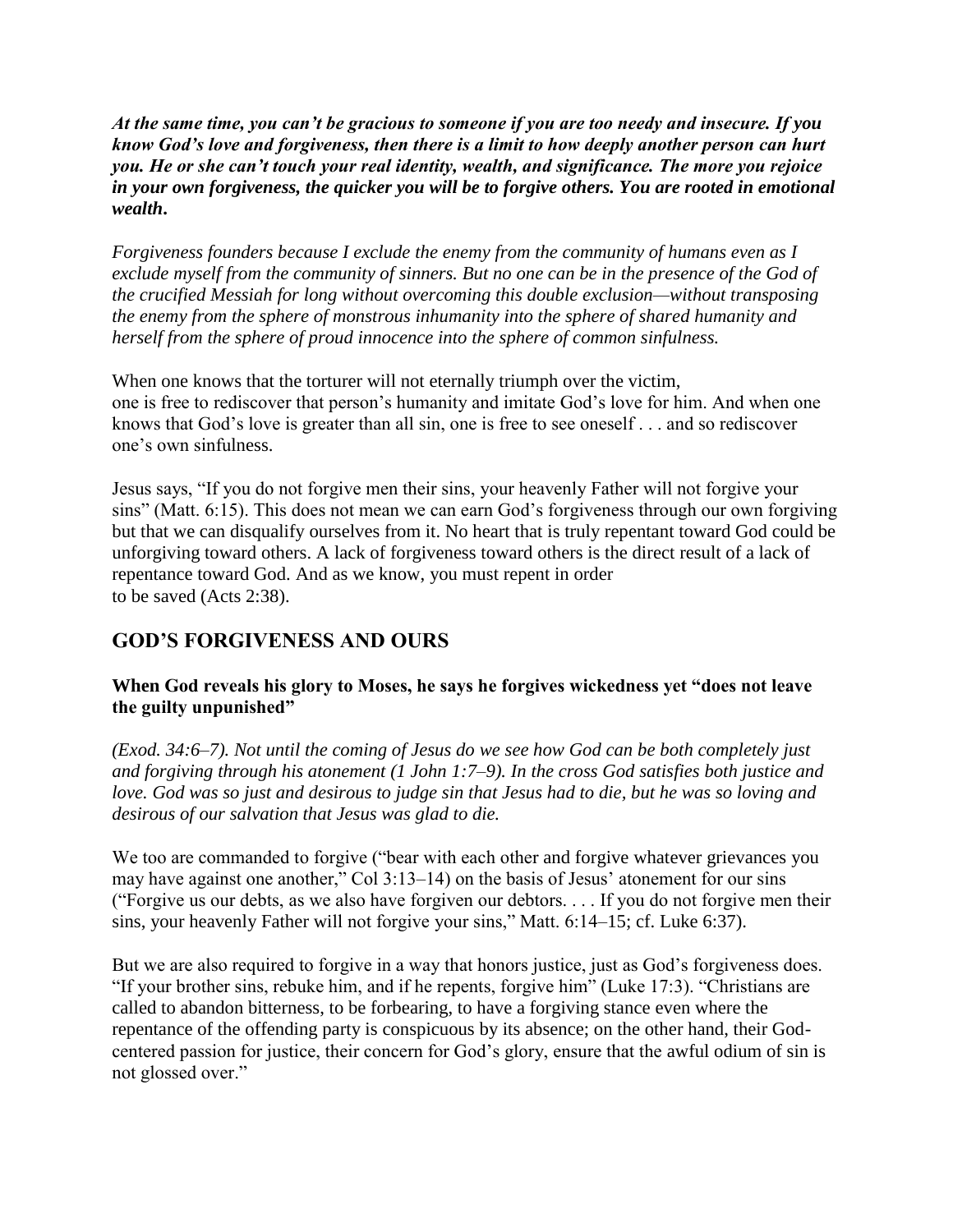*At the same time, you can't be gracious to someone if you are too needy and insecure. If you know God's love and forgiveness, then there is a limit to how deeply another person can hurt you. He or she can't touch your real identity, wealth, and significance. The more you rejoice in your own forgiveness, the quicker you will be to forgive others. You are rooted in emotional wealth***.**

*Forgiveness founders because I exclude the enemy from the community of humans even as I exclude myself from the community of sinners. But no one can be in the presence of the God of the crucified Messiah for long without overcoming this double exclusion—without transposing the enemy from the sphere of monstrous inhumanity into the sphere of shared humanity and herself from the sphere of proud innocence into the sphere of common sinfulness.*

When one knows that the torturer will not eternally triumph over the victim, one is free to rediscover that person's humanity and imitate God's love for him. And when one knows that God's love is greater than all sin, one is free to see oneself . . . and so rediscover one's own sinfulness.

Jesus says, "If you do not forgive men their sins, your heavenly Father will not forgive your sins" (Matt. 6:15). This does not mean we can earn God's forgiveness through our own forgiving but that we can disqualify ourselves from it. No heart that is truly repentant toward God could be unforgiving toward others. A lack of forgiveness toward others is the direct result of a lack of repentance toward God. And as we know, you must repent in order to be saved (Acts 2:38).

# **GOD'S FORGIVENESS AND OURS**

## **When God reveals his glory to Moses, he says he forgives wickedness yet "does not leave the guilty unpunished"**

*(Exod. 34:6–7). Not until the coming of Jesus do we see how God can be both completely just and forgiving through his atonement (1 John 1:7–9). In the cross God satisfies both justice and love. God was so just and desirous to judge sin that Jesus had to die, but he was so loving and desirous of our salvation that Jesus was glad to die.*

We too are commanded to forgive ("bear with each other and forgive whatever grievances you may have against one another," Col 3:13–14) on the basis of Jesus' atonement for our sins ("Forgive us our debts, as we also have forgiven our debtors. . . . If you do not forgive men their sins, your heavenly Father will not forgive your sins," Matt. 6:14–15; cf. Luke 6:37).

But we are also required to forgive in a way that honors justice, just as God's forgiveness does. "If your brother sins, rebuke him, and if he repents, forgive him" (Luke 17:3). "Christians are called to abandon bitterness, to be forbearing, to have a forgiving stance even where the repentance of the offending party is conspicuous by its absence; on the other hand, their Godcentered passion for justice, their concern for God's glory, ensure that the awful odium of sin is not glossed over."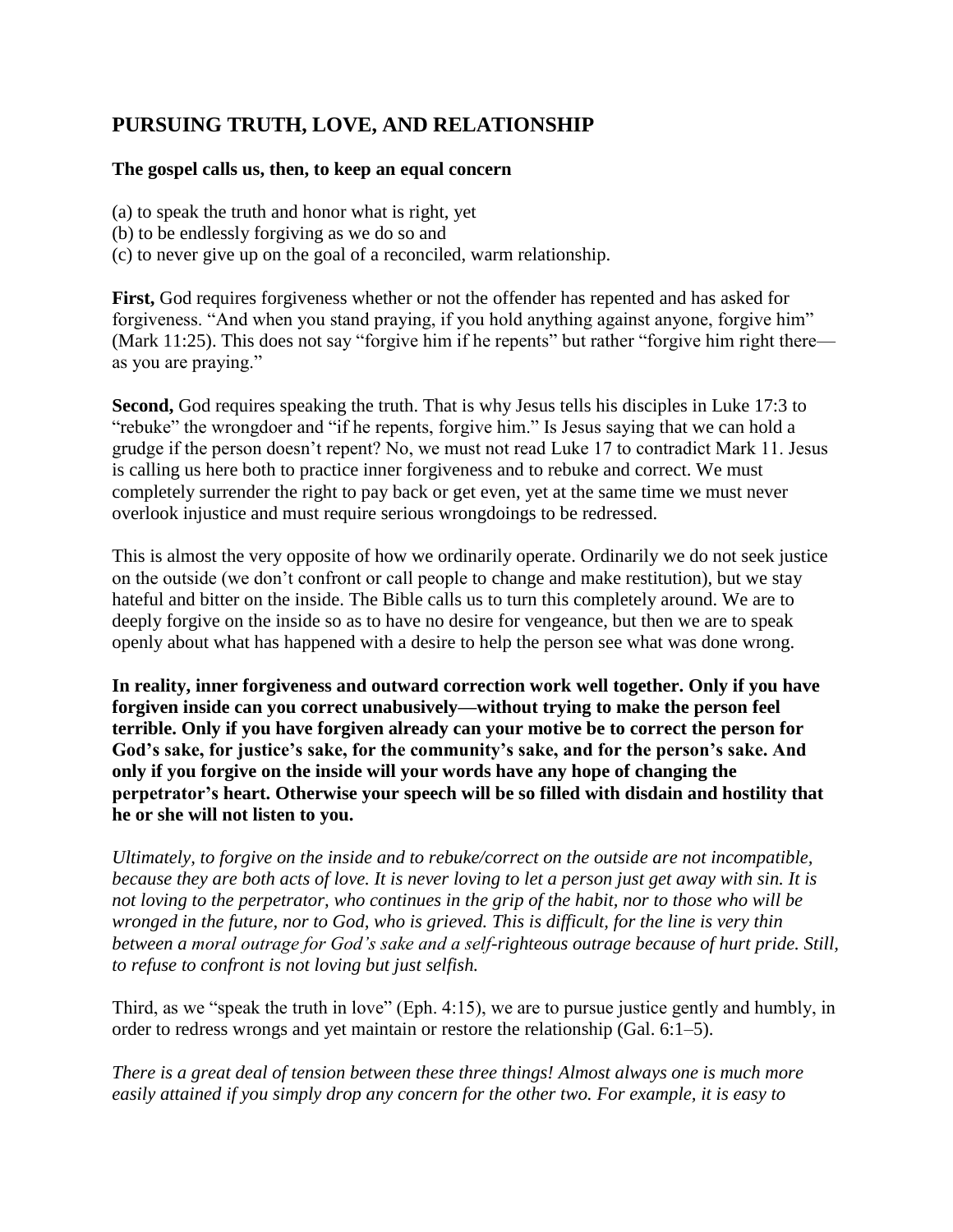# **PURSUING TRUTH, LOVE, AND RELATIONSHIP**

#### **The gospel calls us, then, to keep an equal concern**

(a) to speak the truth and honor what is right, yet

- (b) to be endlessly forgiving as we do so and
- (c) to never give up on the goal of a reconciled, warm relationship.

**First,** God requires forgiveness whether or not the offender has repented and has asked for forgiveness. "And when you stand praying, if you hold anything against anyone, forgive him" (Mark 11:25). This does not say "forgive him if he repents" but rather "forgive him right there as you are praying."

**Second,** God requires speaking the truth. That is why Jesus tells his disciples in Luke 17:3 to "rebuke" the wrongdoer and "if he repents, forgive him." Is Jesus saying that we can hold a grudge if the person doesn't repent? No, we must not read Luke 17 to contradict Mark 11. Jesus is calling us here both to practice inner forgiveness and to rebuke and correct. We must completely surrender the right to pay back or get even, yet at the same time we must never overlook injustice and must require serious wrongdoings to be redressed.

This is almost the very opposite of how we ordinarily operate. Ordinarily we do not seek justice on the outside (we don't confront or call people to change and make restitution), but we stay hateful and bitter on the inside. The Bible calls us to turn this completely around. We are to deeply forgive on the inside so as to have no desire for vengeance, but then we are to speak openly about what has happened with a desire to help the person see what was done wrong.

**In reality, inner forgiveness and outward correction work well together. Only if you have forgiven inside can you correct unabusively—without trying to make the person feel terrible. Only if you have forgiven already can your motive be to correct the person for God's sake, for justice's sake, for the community's sake, and for the person's sake. And only if you forgive on the inside will your words have any hope of changing the perpetrator's heart. Otherwise your speech will be so filled with disdain and hostility that he or she will not listen to you.**

*Ultimately, to forgive on the inside and to rebuke/correct on the outside are not incompatible, because they are both acts of love. It is never loving to let a person just get away with sin. It is not loving to the perpetrator, who continues in the grip of the habit, nor to those who will be wronged in the future, nor to God, who is grieved. This is difficult, for the line is very thin between a moral outrage for God's sake and a self-righteous outrage because of hurt pride. Still, to refuse to confront is not loving but just selfish.*

Third, as we "speak the truth in love" (Eph. 4:15), we are to pursue justice gently and humbly, in order to redress wrongs and yet maintain or restore the relationship (Gal. 6:1–5).

*There is a great deal of tension between these three things! Almost always one is much more easily attained if you simply drop any concern for the other two. For example, it is easy to*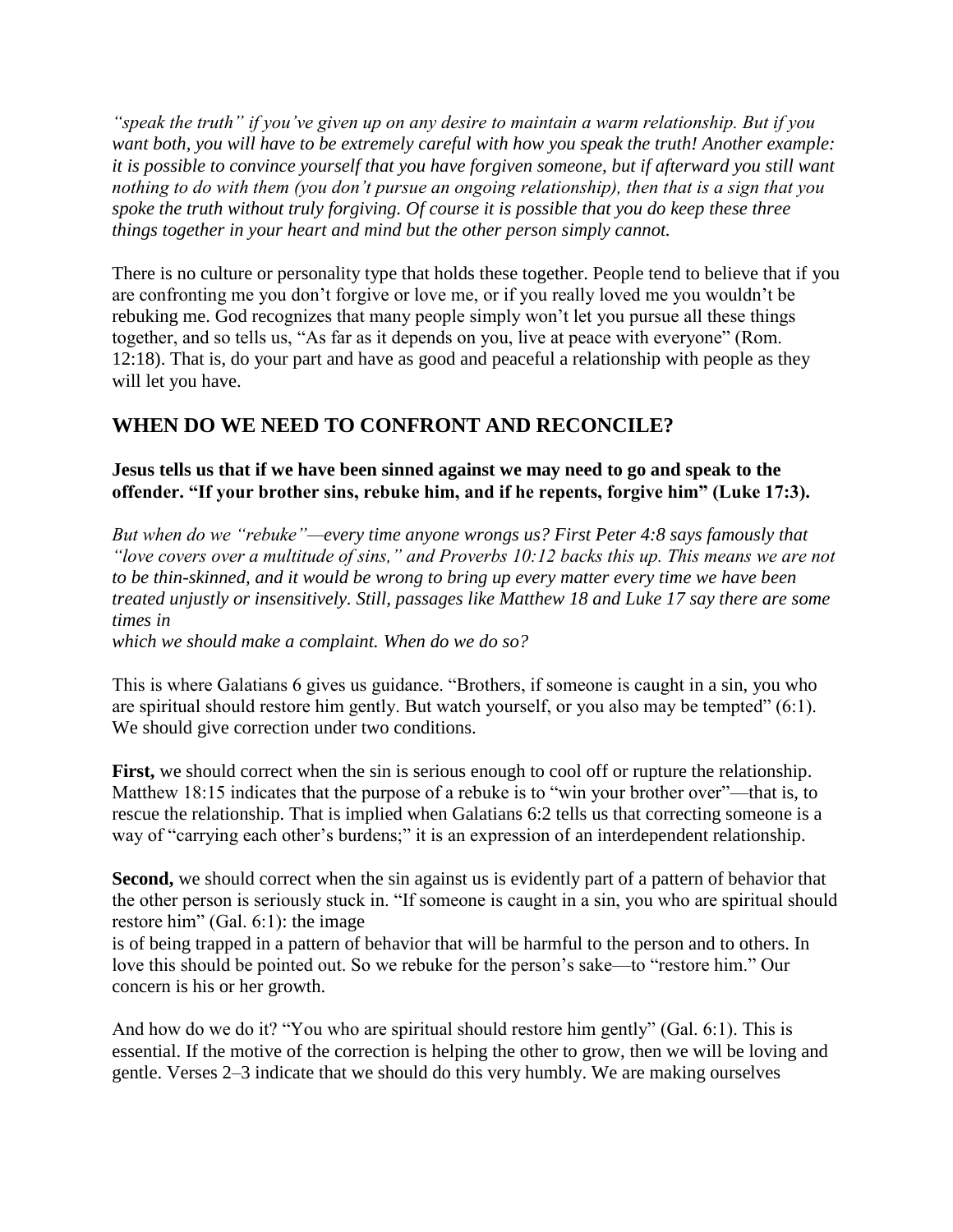*"speak the truth" if you've given up on any desire to maintain a warm relationship. But if you want both, you will have to be extremely careful with how you speak the truth! Another example: it is possible to convince yourself that you have forgiven someone, but if afterward you still want nothing to do with them (you don't pursue an ongoing relationship), then that is a sign that you spoke the truth without truly forgiving. Of course it is possible that you do keep these three things together in your heart and mind but the other person simply cannot.*

There is no culture or personality type that holds these together. People tend to believe that if you are confronting me you don't forgive or love me, or if you really loved me you wouldn't be rebuking me. God recognizes that many people simply won't let you pursue all these things together, and so tells us, "As far as it depends on you, live at peace with everyone" (Rom. 12:18). That is, do your part and have as good and peaceful a relationship with people as they will let you have.

# **WHEN DO WE NEED TO CONFRONT AND RECONCILE?**

## **Jesus tells us that if we have been sinned against we may need to go and speak to the offender. "If your brother sins, rebuke him, and if he repents, forgive him" (Luke 17:3).**

*But when do we "rebuke"—every time anyone wrongs us? First Peter 4:8 says famously that "love covers over a multitude of sins," and Proverbs 10:12 backs this up. This means we are not to be thin-skinned, and it would be wrong to bring up every matter every time we have been treated unjustly or insensitively. Still, passages like Matthew 18 and Luke 17 say there are some times in*

*which we should make a complaint. When do we do so?*

This is where Galatians 6 gives us guidance. "Brothers, if someone is caught in a sin, you who are spiritual should restore him gently. But watch yourself, or you also may be tempted" (6:1). We should give correction under two conditions.

**First,** we should correct when the sin is serious enough to cool off or rupture the relationship. Matthew 18:15 indicates that the purpose of a rebuke is to "win your brother over"—that is, to rescue the relationship. That is implied when Galatians 6:2 tells us that correcting someone is a way of "carrying each other's burdens;" it is an expression of an interdependent relationship.

**Second,** we should correct when the sin against us is evidently part of a pattern of behavior that the other person is seriously stuck in. "If someone is caught in a sin, you who are spiritual should restore him" (Gal. 6:1): the image

is of being trapped in a pattern of behavior that will be harmful to the person and to others. In love this should be pointed out. So we rebuke for the person's sake—to "restore him." Our concern is his or her growth.

And how do we do it? "You who are spiritual should restore him gently" (Gal. 6:1). This is essential. If the motive of the correction is helping the other to grow, then we will be loving and gentle. Verses 2–3 indicate that we should do this very humbly. We are making ourselves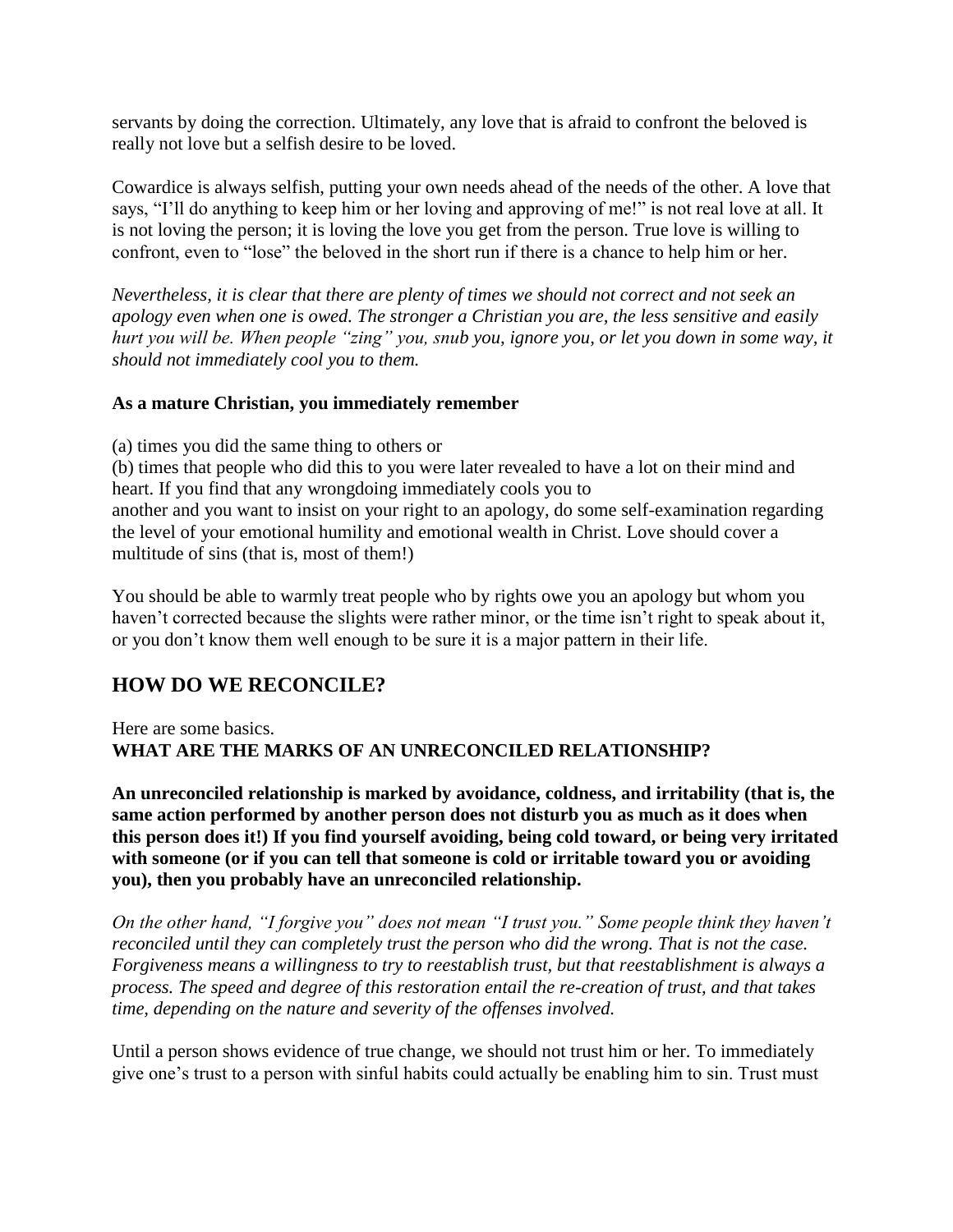servants by doing the correction. Ultimately, any love that is afraid to confront the beloved is really not love but a selfish desire to be loved.

Cowardice is always selfish, putting your own needs ahead of the needs of the other. A love that says, "I'll do anything to keep him or her loving and approving of me!" is not real love at all. It is not loving the person; it is loving the love you get from the person. True love is willing to confront, even to "lose" the beloved in the short run if there is a chance to help him or her.

*Nevertheless, it is clear that there are plenty of times we should not correct and not seek an apology even when one is owed. The stronger a Christian you are, the less sensitive and easily hurt you will be. When people "zing" you, snub you, ignore you, or let you down in some way, it should not immediately cool you to them.*

## **As a mature Christian, you immediately remember**

(a) times you did the same thing to others or

(b) times that people who did this to you were later revealed to have a lot on their mind and heart. If you find that any wrongdoing immediately cools you to another and you want to insist on your right to an apology, do some self-examination regarding the level of your emotional humility and emotional wealth in Christ. Love should cover a multitude of sins (that is, most of them!)

You should be able to warmly treat people who by rights owe you an apology but whom you haven't corrected because the slights were rather minor, or the time isn't right to speak about it, or you don't know them well enough to be sure it is a major pattern in their life.

## **HOW DO WE RECONCILE?**

## Here are some basics. **WHAT ARE THE MARKS OF AN UNRECONCILED RELATIONSHIP?**

**An unreconciled relationship is marked by avoidance, coldness, and irritability (that is, the same action performed by another person does not disturb you as much as it does when this person does it!) If you find yourself avoiding, being cold toward, or being very irritated with someone (or if you can tell that someone is cold or irritable toward you or avoiding you), then you probably have an unreconciled relationship.**

*On the other hand, "I forgive you" does not mean "I trust you." Some people think they haven't reconciled until they can completely trust the person who did the wrong. That is not the case. Forgiveness means a willingness to try to reestablish trust, but that reestablishment is always a process. The speed and degree of this restoration entail the re-creation of trust, and that takes time, depending on the nature and severity of the offenses involved.*

Until a person shows evidence of true change, we should not trust him or her. To immediately give one's trust to a person with sinful habits could actually be enabling him to sin. Trust must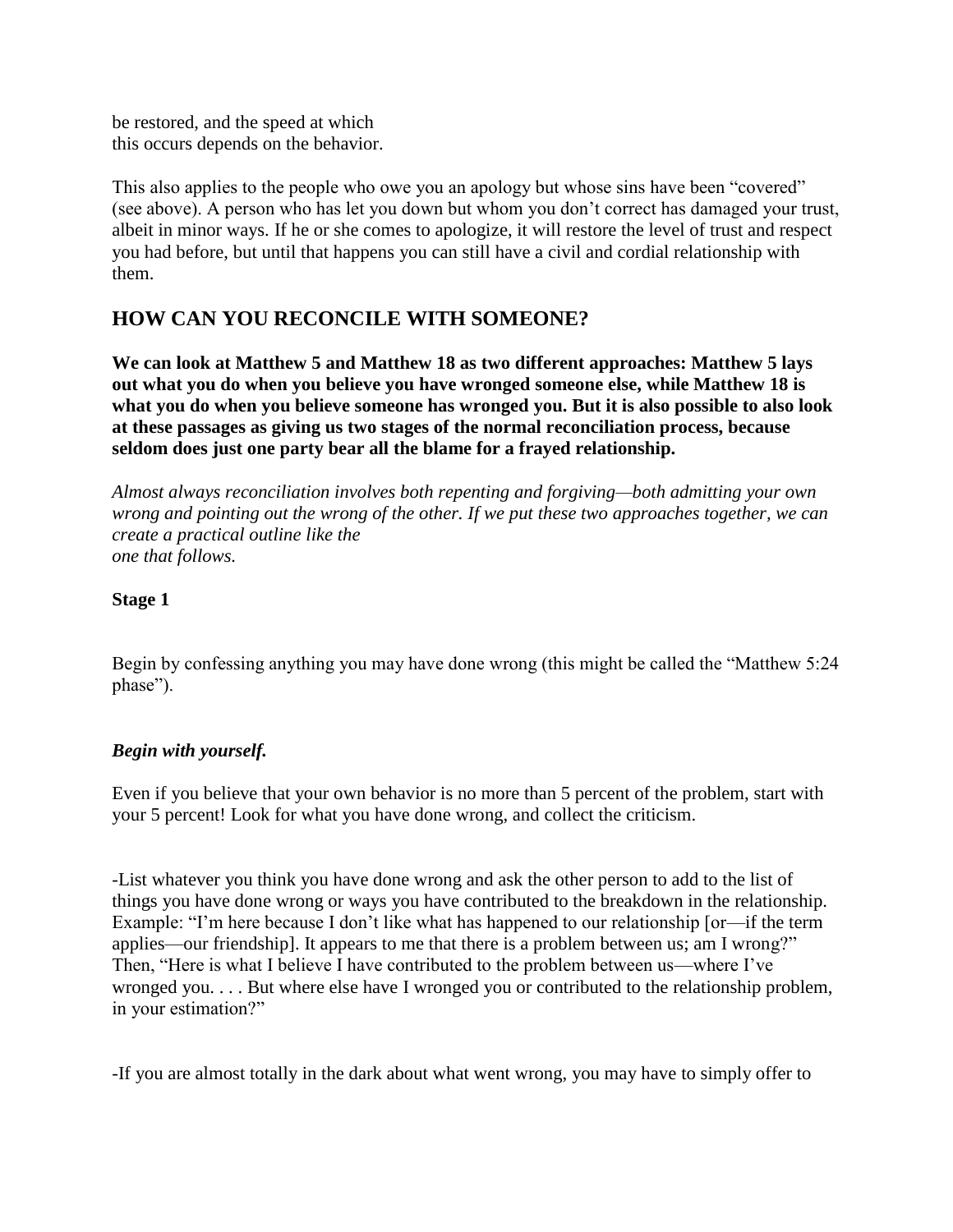be restored, and the speed at which this occurs depends on the behavior.

This also applies to the people who owe you an apology but whose sins have been "covered" (see above). A person who has let you down but whom you don't correct has damaged your trust, albeit in minor ways. If he or she comes to apologize, it will restore the level of trust and respect you had before, but until that happens you can still have a civil and cordial relationship with them.

## **HOW CAN YOU RECONCILE WITH SOMEONE?**

**We can look at Matthew 5 and Matthew 18 as two different approaches: Matthew 5 lays out what you do when you believe you have wronged someone else, while Matthew 18 is what you do when you believe someone has wronged you. But it is also possible to also look at these passages as giving us two stages of the normal reconciliation process, because seldom does just one party bear all the blame for a frayed relationship.**

*Almost always reconciliation involves both repenting and forgiving—both admitting your own wrong and pointing out the wrong of the other. If we put these two approaches together, we can create a practical outline like the one that follows.*

## **Stage 1**

Begin by confessing anything you may have done wrong (this might be called the "Matthew 5:24 phase").

## *Begin with yourself.*

Even if you believe that your own behavior is no more than 5 percent of the problem, start with your 5 percent! Look for what you have done wrong, and collect the criticism.

-List whatever you think you have done wrong and ask the other person to add to the list of things you have done wrong or ways you have contributed to the breakdown in the relationship. Example: "I'm here because I don't like what has happened to our relationship [or—if the term applies—our friendship]. It appears to me that there is a problem between us; am I wrong?" Then, "Here is what I believe I have contributed to the problem between us—where I've wronged you. . . . But where else have I wronged you or contributed to the relationship problem, in your estimation?"

-If you are almost totally in the dark about what went wrong, you may have to simply offer to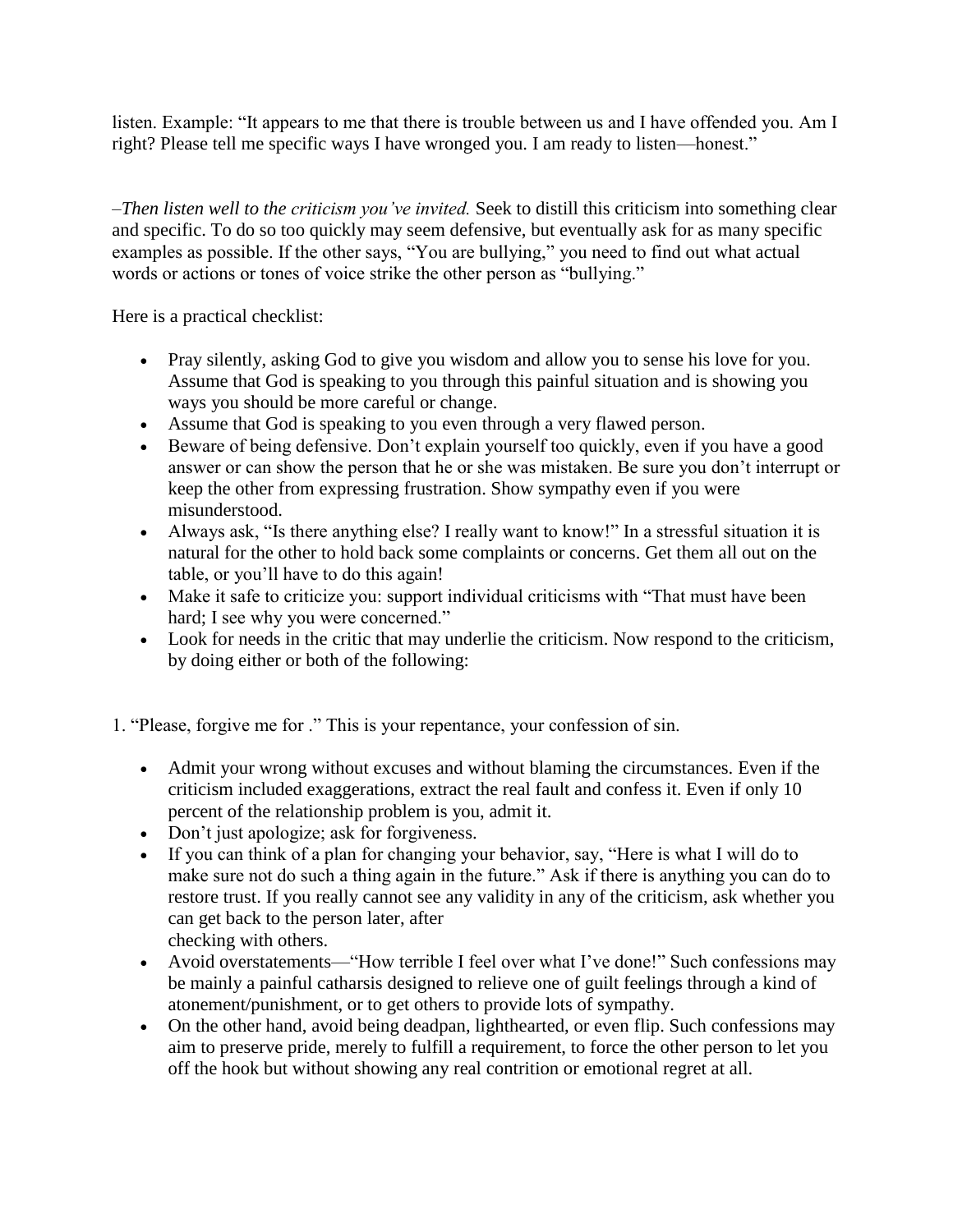listen. Example: "It appears to me that there is trouble between us and I have offended you. Am I right? Please tell me specific ways I have wronged you. I am ready to listen—honest."

–*Then listen well to the criticism you've invited.* Seek to distill this criticism into something clear and specific. To do so too quickly may seem defensive, but eventually ask for as many specific examples as possible. If the other says, "You are bullying," you need to find out what actual words or actions or tones of voice strike the other person as "bullying."

Here is a practical checklist:

- Pray silently, asking God to give you wisdom and allow you to sense his love for you. Assume that God is speaking to you through this painful situation and is showing you ways you should be more careful or change.
- Assume that God is speaking to you even through a very flawed person.
- Beware of being defensive. Don't explain yourself too quickly, even if you have a good answer or can show the person that he or she was mistaken. Be sure you don't interrupt or keep the other from expressing frustration. Show sympathy even if you were misunderstood.
- Always ask, "Is there anything else? I really want to know!" In a stressful situation it is natural for the other to hold back some complaints or concerns. Get them all out on the table, or you'll have to do this again!
- Make it safe to criticize you: support individual criticisms with "That must have been hard; I see why you were concerned."
- Look for needs in the critic that may underlie the criticism. Now respond to the criticism, by doing either or both of the following:

1. "Please, forgive me for ." This is your repentance, your confession of sin.

- Admit your wrong without excuses and without blaming the circumstances. Even if the criticism included exaggerations, extract the real fault and confess it. Even if only 10 percent of the relationship problem is you, admit it.
- Don't just apologize; ask for forgiveness.
- If you can think of a plan for changing your behavior, say, "Here is what I will do to make sure not do such a thing again in the future." Ask if there is anything you can do to restore trust. If you really cannot see any validity in any of the criticism, ask whether you can get back to the person later, after checking with others.
- Avoid overstatements—"How terrible I feel over what I've done!" Such confessions may be mainly a painful catharsis designed to relieve one of guilt feelings through a kind of atonement/punishment, or to get others to provide lots of sympathy.
- On the other hand, avoid being deadpan, lighthearted, or even flip. Such confessions may aim to preserve pride, merely to fulfill a requirement, to force the other person to let you off the hook but without showing any real contrition or emotional regret at all.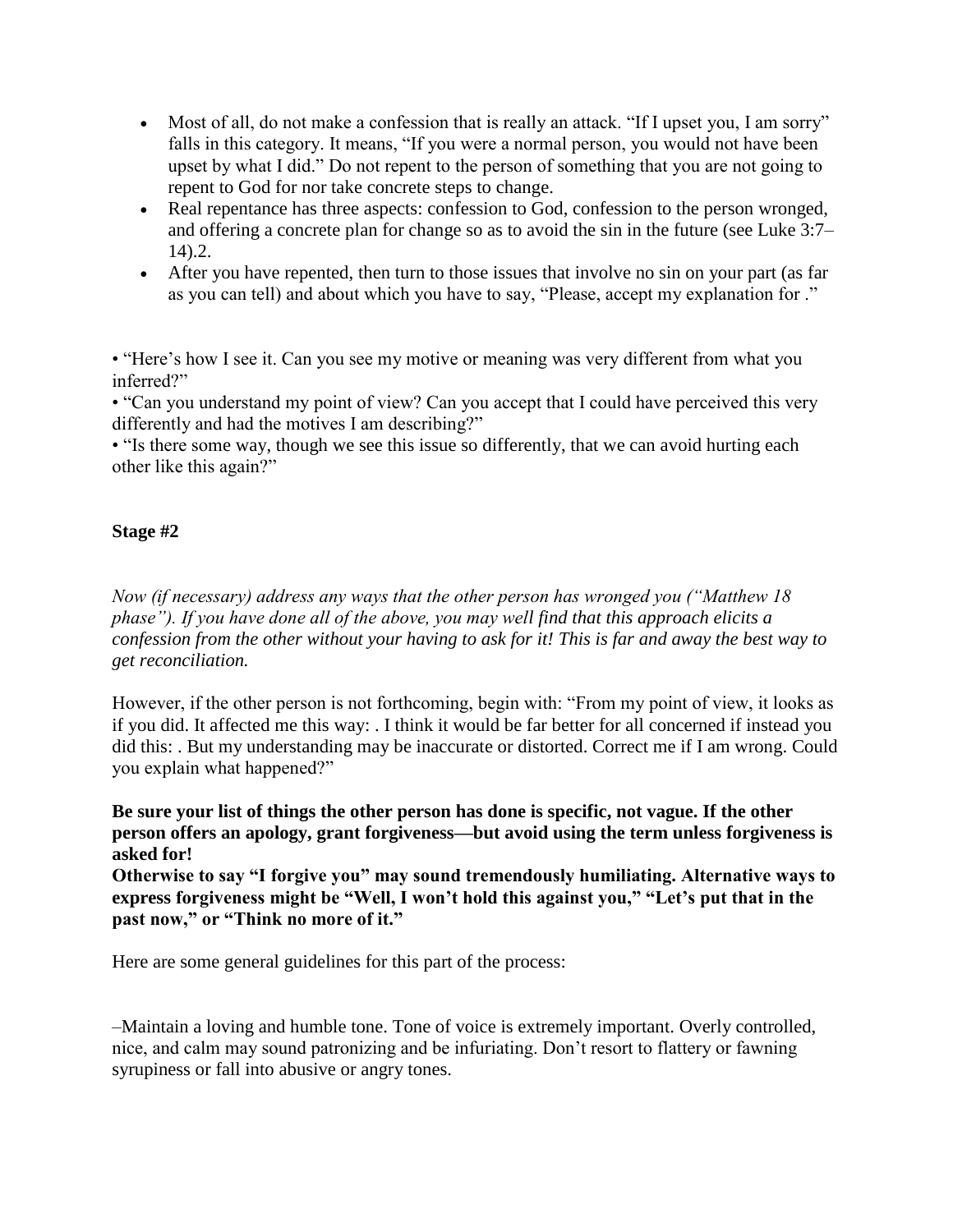- Most of all, do not make a confession that is really an attack. "If I upset you, I am sorry" falls in this category. It means, "If you were a normal person, you would not have been upset by what I did." Do not repent to the person of something that you are not going to repent to God for nor take concrete steps to change.
- Real repentance has three aspects: confession to God, confession to the person wronged, and offering a concrete plan for change so as to avoid the sin in the future (see Luke 3:7– 14).2.
- After you have repented, then turn to those issues that involve no sin on your part (as far as you can tell) and about which you have to say, "Please, accept my explanation for ."

• "Here's how I see it. Can you see my motive or meaning was very different from what you inferred?"

• "Can you understand my point of view? Can you accept that I could have perceived this very differently and had the motives I am describing?"

• "Is there some way, though we see this issue so differently, that we can avoid hurting each other like this again?"

## **Stage #2**

*Now (if necessary) address any ways that the other person has wronged you ("Matthew 18 phase"). If you have done all of the above, you may well find that this approach elicits a confession from the other without your having to ask for it! This is far and away the best way to get reconciliation.*

However, if the other person is not forthcoming, begin with: "From my point of view, it looks as if you did. It affected me this way: . I think it would be far better for all concerned if instead you did this: . But my understanding may be inaccurate or distorted. Correct me if I am wrong. Could you explain what happened?"

**Be sure your list of things the other person has done is specific, not vague. If the other person offers an apology, grant forgiveness—but avoid using the term unless forgiveness is asked for!**

**Otherwise to say "I forgive you" may sound tremendously humiliating. Alternative ways to express forgiveness might be "Well, I won't hold this against you," "Let's put that in the past now," or "Think no more of it."**

Here are some general guidelines for this part of the process:

–Maintain a loving and humble tone. Tone of voice is extremely important. Overly controlled, nice, and calm may sound patronizing and be infuriating. Don't resort to flattery or fawning syrupiness or fall into abusive or angry tones.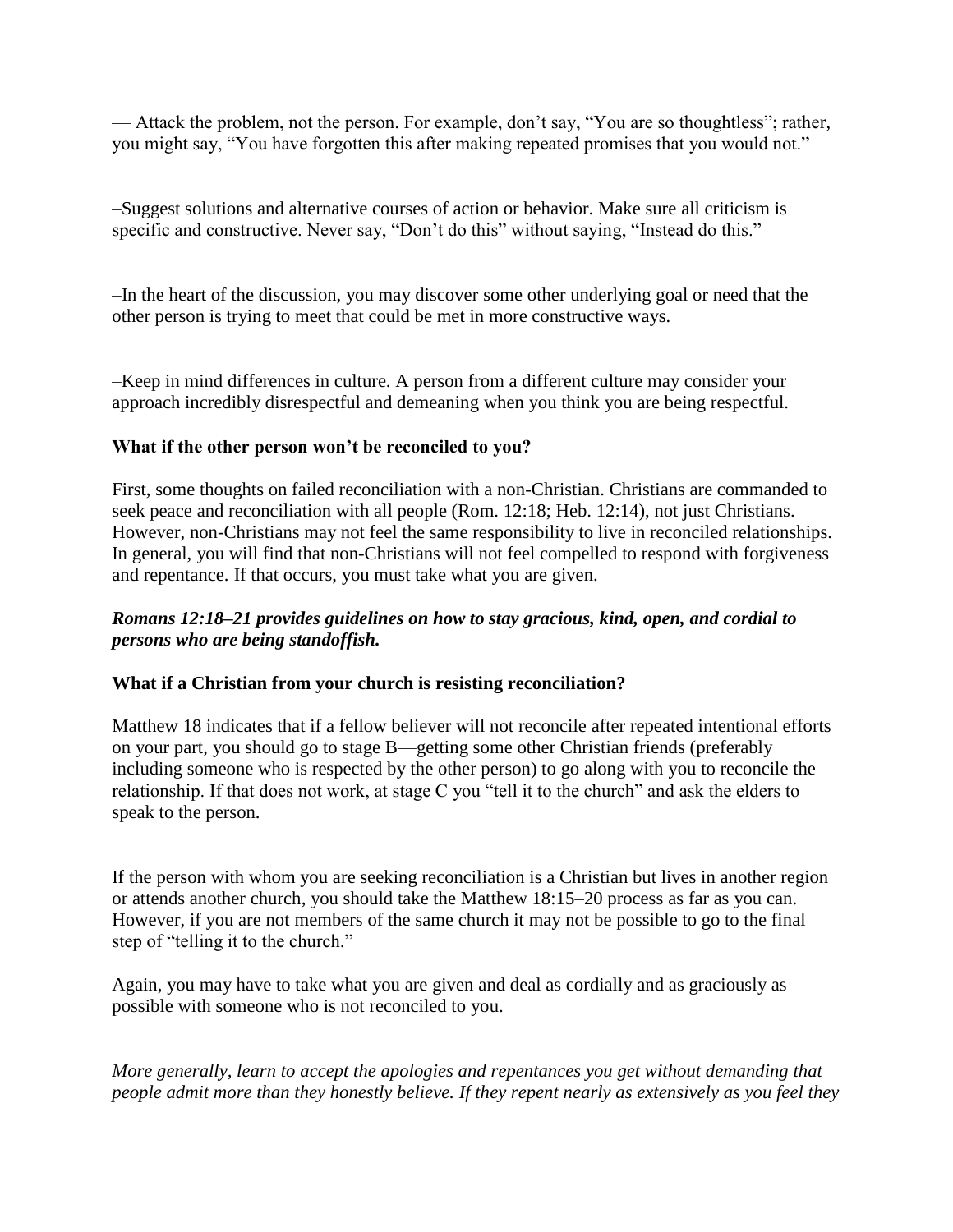— Attack the problem, not the person. For example, don't say, "You are so thoughtless"; rather, you might say, "You have forgotten this after making repeated promises that you would not."

–Suggest solutions and alternative courses of action or behavior. Make sure all criticism is specific and constructive. Never say, "Don't do this" without saying, "Instead do this."

–In the heart of the discussion, you may discover some other underlying goal or need that the other person is trying to meet that could be met in more constructive ways.

–Keep in mind differences in culture. A person from a different culture may consider your approach incredibly disrespectful and demeaning when you think you are being respectful.

## **What if the other person won't be reconciled to you?**

First, some thoughts on failed reconciliation with a non-Christian. Christians are commanded to seek peace and reconciliation with all people (Rom. 12:18; Heb. 12:14), not just Christians. However, non-Christians may not feel the same responsibility to live in reconciled relationships. In general, you will find that non-Christians will not feel compelled to respond with forgiveness and repentance. If that occurs, you must take what you are given.

## *Romans 12:18–21 provides guidelines on how to stay gracious, kind, open, and cordial to persons who are being standoffish.*

## **What if a Christian from your church is resisting reconciliation?**

Matthew 18 indicates that if a fellow believer will not reconcile after repeated intentional efforts on your part, you should go to stage B—getting some other Christian friends (preferably including someone who is respected by the other person) to go along with you to reconcile the relationship. If that does not work, at stage C you "tell it to the church" and ask the elders to speak to the person.

If the person with whom you are seeking reconciliation is a Christian but lives in another region or attends another church, you should take the Matthew 18:15–20 process as far as you can. However, if you are not members of the same church it may not be possible to go to the final step of "telling it to the church."

Again, you may have to take what you are given and deal as cordially and as graciously as possible with someone who is not reconciled to you.

*More generally, learn to accept the apologies and repentances you get without demanding that people admit more than they honestly believe. If they repent nearly as extensively as you feel they*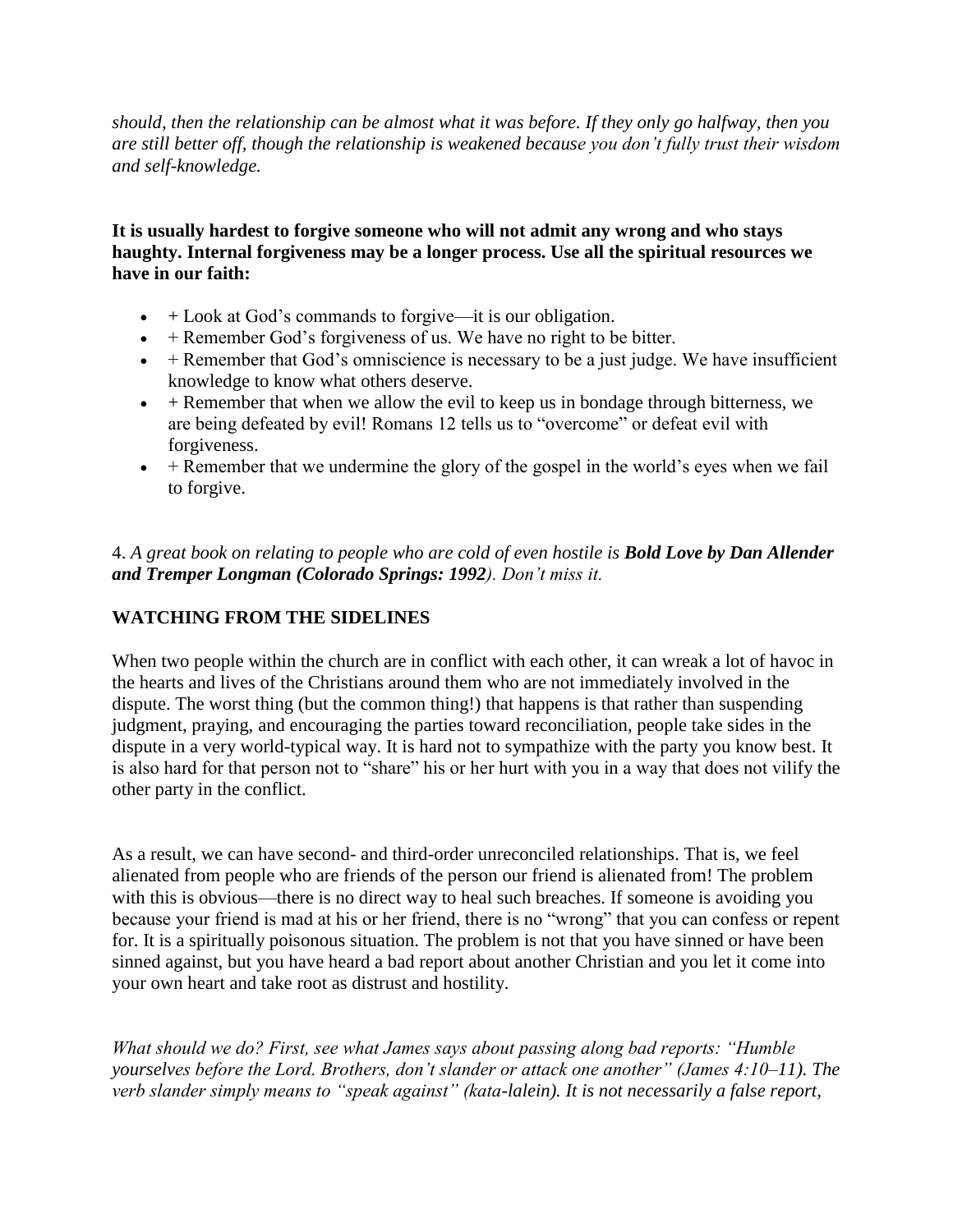*should, then the relationship can be almost what it was before. If they only go halfway, then you are still better off, though the relationship is weakened because you don't fully trust their wisdom and self-knowledge.*

**It is usually hardest to forgive someone who will not admit any wrong and who stays haughty. Internal forgiveness may be a longer process. Use all the spiritual resources we have in our faith:**

- $+$  Look at God's commands to forgive—it is our obligation.
- $\bullet$  + Remember God's forgiveness of us. We have no right to be bitter.
- $\bullet$  + Remember that God's omniscience is necessary to be a just judge. We have insufficient knowledge to know what others deserve.
- $\bullet$  + Remember that when we allow the evil to keep us in bondage through bitterness, we are being defeated by evil! Romans 12 tells us to "overcome" or defeat evil with forgiveness.
- $\bullet$  + Remember that we undermine the glory of the gospel in the world's eyes when we fail to forgive.

4. *A great book on relating to people who are cold of even hostile is Bold Love by Dan Allender and Tremper Longman (Colorado Springs: 1992). Don't miss it.*

## **WATCHING FROM THE SIDELINES**

When two people within the church are in conflict with each other, it can wreak a lot of havoc in the hearts and lives of the Christians around them who are not immediately involved in the dispute. The worst thing (but the common thing!) that happens is that rather than suspending judgment, praying, and encouraging the parties toward reconciliation, people take sides in the dispute in a very world-typical way. It is hard not to sympathize with the party you know best. It is also hard for that person not to "share" his or her hurt with you in a way that does not vilify the other party in the conflict.

As a result, we can have second- and third-order unreconciled relationships. That is, we feel alienated from people who are friends of the person our friend is alienated from! The problem with this is obvious—there is no direct way to heal such breaches. If someone is avoiding you because your friend is mad at his or her friend, there is no "wrong" that you can confess or repent for. It is a spiritually poisonous situation. The problem is not that you have sinned or have been sinned against, but you have heard a bad report about another Christian and you let it come into your own heart and take root as distrust and hostility.

*What should we do? First, see what James says about passing along bad reports: "Humble yourselves before the Lord. Brothers, don't slander or attack one another" (James 4:10–11). The verb slander simply means to "speak against" (kata-lalein). It is not necessarily a false report,*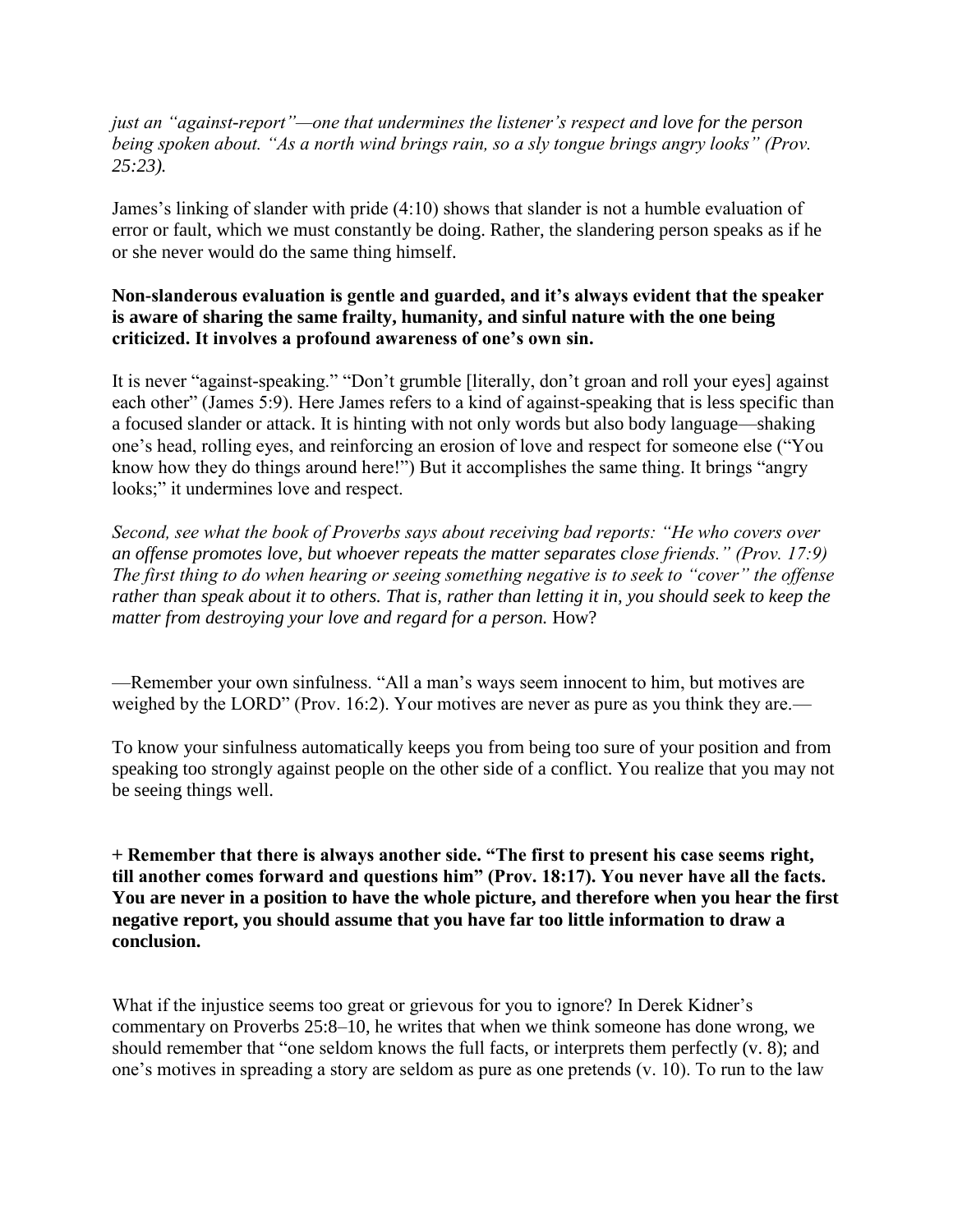*just an "against-report"—one that undermines the listener's respect and love for the person being spoken about. "As a north wind brings rain, so a sly tongue brings angry looks" (Prov. 25:23).*

James's linking of slander with pride (4:10) shows that slander is not a humble evaluation of error or fault, which we must constantly be doing. Rather, the slandering person speaks as if he or she never would do the same thing himself.

## **Non-slanderous evaluation is gentle and guarded, and it's always evident that the speaker is aware of sharing the same frailty, humanity, and sinful nature with the one being criticized. It involves a profound awareness of one's own sin.**

It is never "against-speaking." "Don't grumble [literally, don't groan and roll your eyes] against each other" (James 5:9). Here James refers to a kind of against-speaking that is less specific than a focused slander or attack. It is hinting with not only words but also body language—shaking one's head, rolling eyes, and reinforcing an erosion of love and respect for someone else ("You know how they do things around here!") But it accomplishes the same thing. It brings "angry looks;" it undermines love and respect.

*Second, see what the book of Proverbs says about receiving bad reports: "He who covers over an offense promotes love, but whoever repeats the matter separates close friends." (Prov. 17:9) The first thing to do when hearing or seeing something negative is to seek to "cover" the offense rather than speak about it to others. That is, rather than letting it in, you should seek to keep the matter from destroying your love and regard for a person.* How?

—Remember your own sinfulness. "All a man's ways seem innocent to him, but motives are weighed by the LORD" (Prov. 16:2). Your motives are never as pure as you think they are.—

To know your sinfulness automatically keeps you from being too sure of your position and from speaking too strongly against people on the other side of a conflict. You realize that you may not be seeing things well.

**+ Remember that there is always another side. "The first to present his case seems right, till another comes forward and questions him" (Prov. 18:17). You never have all the facts. You are never in a position to have the whole picture, and therefore when you hear the first negative report, you should assume that you have far too little information to draw a conclusion.**

What if the injustice seems too great or grievous for you to ignore? In Derek Kidner's commentary on Proverbs 25:8–10, he writes that when we think someone has done wrong, we should remember that "one seldom knows the full facts, or interprets them perfectly (v. 8); and one's motives in spreading a story are seldom as pure as one pretends (v. 10). To run to the law